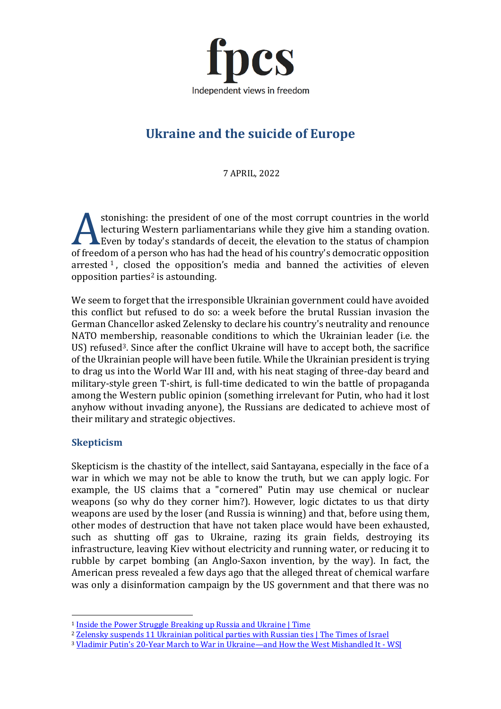

# **Ukraine and the suicide of Europe**

7 APRIL, 2022

stonishing: the president of one of the most corrupt countries in the world lecturing Western parliamentarians while they give him a standing ovation. Even by today's standards of deceit, the elevation to the status of champion **Example 1989** Sconsing Western parliamentarians while they give him a standing ovation.<br>
Even by today's standards of deceit, the elevation to the status of champion<br>
of freedom of a person who has had the head of his cou arrested  $\frac{1}{1}$  $\frac{1}{1}$  $\frac{1}{1}$ , closed the opposition's media and banned the activities of eleven opposition parties<sup>[2](#page-0-1)</sup> is astounding.

We seem to forget that the irresponsible Ukrainian government could have avoided this conflict but refused to do so: a week before the brutal Russian invasion the German Chancellor asked Zelensky to declare his country's neutrality and renounce NATO membership, reasonable conditions to which the Ukrainian leader (i.e. the US) refused<sup>[3](#page-0-2)</sup>. Since after the conflict Ukraine will have to accept both, the sacrifice of the Ukrainian people will have been futile. While the Ukrainian president is trying to drag us into the World War III and, with his neat staging of three-day beard and military-style green T-shirt, is full-time dedicated to win the battle of propaganda among the Western public opinion (something irrelevant for Putin, who had it lost anyhow without invading anyone), the Russians are dedicated to achieve most of their military and strategic objectives.

# **Skepticism**

Skepticism is the chastity of the intellect, said Santayana, especially in the face of a war in which we may not be able to know the truth, but we can apply logic. For example, the US claims that a "cornered" Putin may use chemical or nuclear weapons (so why do they corner him?). However, logic dictates to us that dirty weapons are used by the loser (and Russia is winning) and that, before using them, other modes of destruction that have not taken place would have been exhausted, such as shutting off gas to Ukraine, razing its grain fields, destroying its infrastructure, leaving Kiev without electricity and running water, or reducing it to rubble by carpet bombing (an Anglo-Saxon invention, by the way). In fact, the American press revealed a few days ago that the alleged threat of chemical warfare was only a disinformation campaign by the US government and that there was no

<span id="page-0-0"></span><sup>&</sup>lt;sup>1</sup> [Inside the Power Struggle Breaking up Russia and Ukraine | Time](https://time.com/6144109/russia-ukraine-vladimir-putin-viktor-medvedchuk/)

<span id="page-0-1"></span><sup>&</sup>lt;sup>2</sup> [Zelensky suspends 11 Ukrainian political parties with Russian ties | The Times of Israel](https://www.timesofisrael.com/liveblog_entry/zelensky-suspends-11-ukrainian-political-parties-with-russian-ties/)

<span id="page-0-2"></span><sup>&</sup>lt;sup>3</sup> [Vladimir Putin's 20-Year March to War in Ukraine—and How the West Mishandled It -](https://www.wsj.com/articles/vladimir-putins-20-year-march-to-war-in-ukraineand-how-the-west-mishandled-it-11648826461?mod=hp_trending_now_article_pos1) WSI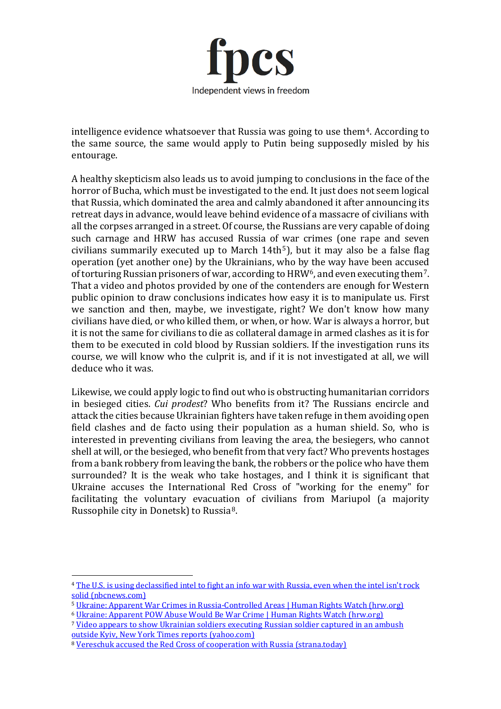

intelligence evidence whatsoever that Russia was going to use them<sup>[4](#page-1-0)</sup>. According to the same source, the same would apply to Putin being supposedly misled by his entourage.

A healthy skepticism also leads us to avoid jumping to conclusions in the face of the horror of Bucha, which must be investigated to the end. It just does not seem logical that Russia, which dominated the area and calmly abandoned it after announcing its retreat days in advance, would leave behind evidence of a massacre of civilians with all the corpses arranged in a street. Of course, the Russians are very capable of doing such carnage and HRW has accused Russia of war crimes (one rape and seven civilians summarily executed up to March  $14th<sup>5</sup>$  $14th<sup>5</sup>$  $14th<sup>5</sup>$ ), but it may also be a false flag operation (yet another one) by the Ukrainians, who by the way have been accused of torturing Russian prisoners of war, according to HRW<sup>6</sup>, and even executing them<sup>7</sup>. That a video and photos provided by one of the contenders are enough for Western public opinion to draw conclusions indicates how easy it is to manipulate us. First we sanction and then, maybe, we investigate, right? We don't know how many civilians have died, or who killed them, or when, or how. War is always a horror, but it is not the same for civilians to die as collateral damage in armed clashes as it is for them to be executed in cold blood by Russian soldiers. If the investigation runs its course, we will know who the culprit is, and if it is not investigated at all, we will deduce who it was.

Likewise, we could apply logic to find out who is obstructing humanitarian corridors in besieged cities. *Cui prodest*? Who benefits from it? The Russians encircle and attack the cities because Ukrainian fighters have taken refuge in them avoiding open field clashes and de facto using their population as a human shield. So, who is interested in preventing civilians from leaving the area, the besiegers, who cannot shell at will, or the besieged, who benefit from that very fact? Who prevents hostages from a bank robbery from leaving the bank, the robbers or the police who have them surrounded? It is the weak who take hostages, and I think it is significant that Ukraine accuses the International Red Cross of "working for the enemy" for facilitating the voluntary evacuation of civilians from Mariupol (a majority Russophile city in Donetsk) to Russia[8.](#page-1-4)

<span id="page-1-0"></span><sup>4</sup> [The U.S. is using declassified intel to fight an info war with Russia, even when the intel isn](https://www.nbcnews.com/politics/national-security/us-using-declassified-intel-fight-info-war-russia-even-intel-isnt-rock-rcna23014)'t rock [solid \(nbcnews.com\)](https://www.nbcnews.com/politics/national-security/us-using-declassified-intel-fight-info-war-russia-even-intel-isnt-rock-rcna23014)

<span id="page-1-1"></span><sup>5</sup> [Ukraine: Apparent War Crimes in Russia-Controlled Areas | Human Rights Watch \(hrw.org\)](https://www.hrw.org/news/2022/04/03/ukraine-apparent-war-crimes-russia-controlled-areas)

<span id="page-1-2"></span><sup>6</sup> [Ukraine: Apparent POW Abuse Would Be War Crime | Human Rights Watch \(hrw.org\)](https://www.hrw.org/news/2022/03/31/ukraine-apparent-pow-abuse-would-be-war-crime)

<span id="page-1-3"></span><sup>&</sup>lt;sup>7</sup> Video appears to show Ukrainian soldiers executing Russian soldier captured in an ambush [outside Kyiv, New York Times reports \(yahoo.com\)](https://news.yahoo.com/video-appears-show-ukrainian-soldiers-192219323.html?msclkid=42a71f0fb65311ecbd43423e085771be)

<span id="page-1-4"></span><sup>8</sup> [Vereschuk accused the Red Cross of cooperation with Russia \(strana.today\)](https://strana.today/news/383758-vereshchuk-obvinila-krasnyj-krest-v-sotrudnichestve-s-rossiej.html)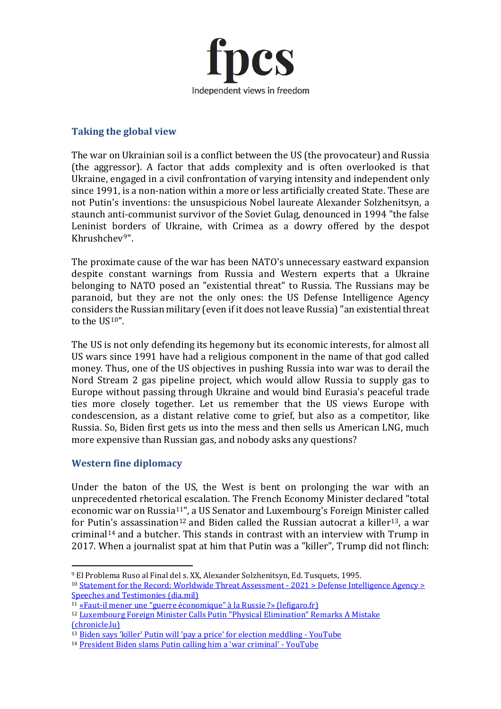

#### **Taking the global view**

The war on Ukrainian soil is a conflict between the US (the provocateur) and Russia (the aggressor). A factor that adds complexity and is often overlooked is that Ukraine, engaged in a civil confrontation of varying intensity and independent only since 1991, is a non-nation within a more or less artificially created State. These are not Putin's inventions: the unsuspicious Nobel laureate Alexander Solzhenitsyn, a staunch anti-communist survivor of the Soviet Gulag, denounced in 1994 "the false Leninist borders of Ukraine, with Crimea as a dowry offered by the despot Khrushchev[9](#page-2-0)".

The proximate cause of the war has been NATO's unnecessary eastward expansion despite constant warnings from Russia and Western experts that a Ukraine belonging to NATO posed an "existential threat" to Russia. The Russians may be paranoid, but they are not the only ones: the US Defense Intelligence Agency considers the Russian military (even if it does not leave Russia) "an existential threat to the US[10](#page-2-1)".

The US is not only defending its hegemony but its economic interests, for almost all US wars since 1991 have had a religious component in the name of that god called money. Thus, one of the US objectives in pushing Russia into war was to derail the Nord Stream 2 gas pipeline project, which would allow Russia to supply gas to Europe without passing through Ukraine and would bind Eurasia's peaceful trade ties more closely together. Let us remember that the US views Europe with condescension, as a distant relative come to grief, but also as a competitor, like Russia. So, Biden first gets us into the mess and then sells us American LNG, much more expensive than Russian gas, and nobody asks any questions?

## **Western fine diplomacy**

Under the baton of the US, the West is bent on prolonging the war with an unprecedented rhetorical escalation. The French Economy Minister declared "total economic war on Russia[11](#page-2-2)", a US Senator and Luxembourg's Foreign Minister called for Putin's assassination<sup>[12](#page-2-3)</sup> and Biden called the Russian autocrat a killer<sup>13</sup>, a war criminal[14](#page-2-5) and a butcher. This stands in contrast with an interview with Trump in 2017. When a journalist spat at him that Putin was a "killer", Trump did not flinch:

<span id="page-2-1"></span><span id="page-2-0"></span><sup>9</sup> El Problema Ruso al Final del s. XX, Alexander Solzhenitsyn, Ed. Tusquets, 1995. 10 [Statement for the Record: Worldwide Threat Assessment -](https://www.dia.mil/Articles/Speeches-and-Testimonies/Article/2590462/statement-for-the-record-worldwide-threat-assessment-2021/) 2021 > Defense Intelligence Agency > [Speeches and Testimonies \(dia.mil\)](https://www.dia.mil/Articles/Speeches-and-Testimonies/Article/2590462/statement-for-the-record-worldwide-threat-assessment-2021/)

<span id="page-2-2"></span><sup>11</sup> [«Faut-il mener une "guerre économique" à la Russie ?» \(lefigaro.fr\)](https://www.lefigaro.fr/vox/economie/faut-il-mener-une-guerre-economique-a-la-russie-20220302?msclkid=629ea589ac3211ec944ff25b6d849d3d)

<span id="page-2-3"></span><sup>12</sup> [Luxembourg Foreign Minister Calls Putin "Physical Elimination" Remarks A Mistake](https://chronicle.lu/category/politics/39895-luxembourg-foreign-minister-calls-putin-physical-elimination-remarks-a-mistake)  [\(chronicle.lu\)](https://chronicle.lu/category/politics/39895-luxembourg-foreign-minister-calls-putin-physical-elimination-remarks-a-mistake)

<span id="page-2-4"></span><sup>&</sup>lt;sup>13</sup> Biden says ['killer' Putin will 'pay a price' for election meddling -](https://www.youtube.com/watch?v=-LFdljfqr6I) YouTube

<span id="page-2-5"></span><sup>14</sup> [President Biden slams Putin calling him a](https://www.youtube.com/watch?v=3Luv3ca0YJQ) 'war criminal' - YouTube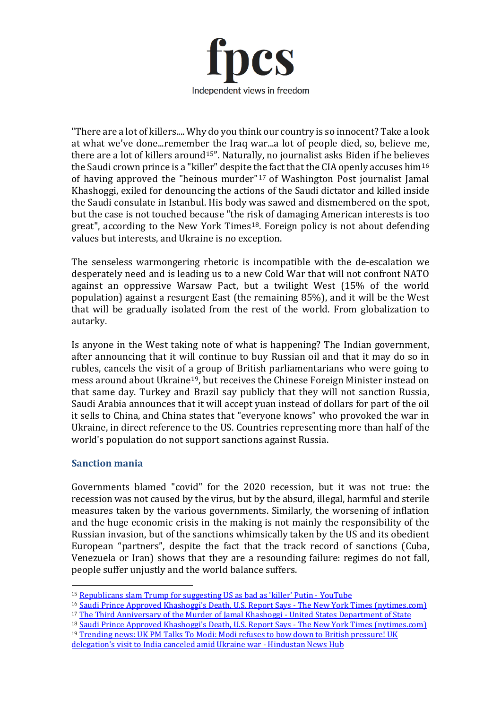

"There are a lot of killers.... Why do you think our country is so innocent? Take a look at what we've done...remember the Iraq war...a lot of people died, so, believe me, there are a lot of killers around<sup>[15](#page-3-0)"</sup>. Naturally, no journalist asks Biden if he believes the Saudi crown prince is a "killer" despite the fact that the CIA openly accuses him<sup>[16](#page-3-1)</sup> of having approved the "heinous murder"[17](#page-3-2) of Washington Post journalist Jamal Khashoggi, exiled for denouncing the actions of the Saudi dictator and killed inside the Saudi consulate in Istanbul. His body was sawed and dismembered on the spot, but the case is not touched because "the risk of damaging American interests is too great", according to the New York Times<sup>18</sup>. Foreign policy is not about defending values but interests, and Ukraine is no exception.

The senseless warmongering rhetoric is incompatible with the de-escalation we desperately need and is leading us to a new Cold War that will not confront NATO against an oppressive Warsaw Pact, but a twilight West (15% of the world population) against a resurgent East (the remaining 85%), and it will be the West that will be gradually isolated from the rest of the world. From globalization to autarky.

Is anyone in the West taking note of what is happening? The Indian government, after announcing that it will continue to buy Russian oil and that it may do so in rubles, cancels the visit of a group of British parliamentarians who were going to mess around about Ukraine[19](#page-3-4), but receives the Chinese Foreign Minister instead on that same day. Turkey and Brazil say publicly that they will not sanction Russia, Saudi Arabia announces that it will accept yuan instead of dollars for part of the oil it sells to China, and China states that "everyone knows" who provoked the war in Ukraine, in direct reference to the US. Countries representing more than half of the world's population do not support sanctions against Russia.

## **Sanction mania**

Governments blamed "covid" for the 2020 recession, but it was not true: the recession was not caused by the virus, but by the absurd, illegal, harmful and sterile measures taken by the various governments. Similarly, the worsening of inflation and the huge economic crisis in the making is not mainly the responsibility of the Russian invasion, but of the sanctions whimsically taken by the US and its obedient European "partners", despite the fact that the track record of sanctions (Cuba, Venezuela or Iran) shows that they are a resounding failure: regimes do not fall, people suffer unjustly and the world balance suffers.

- <span id="page-3-1"></span><sup>16</sup> Saudi Prince Approved Khashoggi's Death, U.S. Report Says - [The New York Times \(nytimes.com\)](https://www.nytimes.com/2021/02/26/us/politics/jamal-khashoggi-killing-cia-report.html?msclkid=03c29328aa8b11eca83e57c0579a331a)
- <span id="page-3-2"></span><sup>17</sup> [The Third Anniversary of the Murder of Jamal Khashoggi -](https://www.state.gov/the-third-anniversary-of-the-murder-of-jamal-khashoggi/?msclkid=375e4cdfaa8f11eca3af0d28b49adf98) United States Department of State
- <span id="page-3-3"></span><sup>18</sup> Saudi Prince Approved Khashoggi's Death, U.S. Report Says - [The New York Times \(nytimes.com\)](https://www.nytimes.com/2021/02/26/us/politics/jamal-khashoggi-killing-cia-report.html?msclkid=03c29328aa8b11eca83e57c0579a331a) <sup>19</sup> Trending news: UK PM Talks To Modi: Modi refuses to bow down to British pressure! UK

<span id="page-3-4"></span>delegation['s visit to India canceled amid Ukraine war -](https://hindustannewshub.com/world-news/uk-pm-talks-to-modi-modi-refuses-to-bow-down-to-british-pressure-uk-delegations-visit-to-india-canceled-amid-ukraine-war/) Hindustan News Hub

<span id="page-3-0"></span><sup>15</sup> [Republicans slam Trump for suggesting US as bad as](https://www.youtube.com/watch?v=ExmYDvQDbl0) 'killer' Putin - YouTube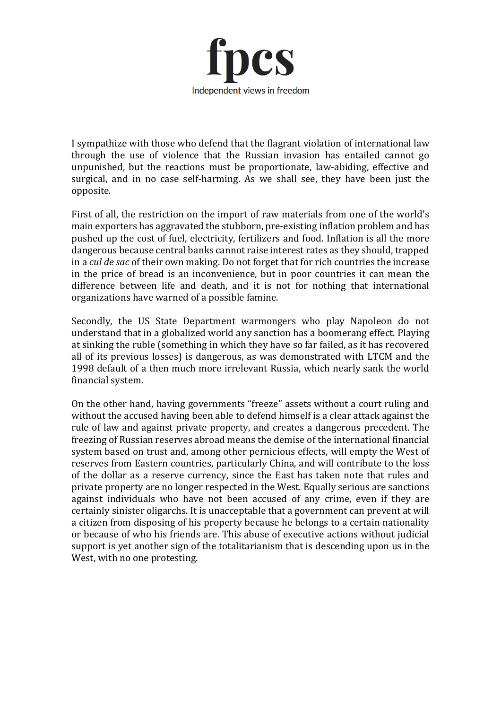

I sympathize with those who defend that the flagrant violation of international law through the use of violence that the Russian invasion has entailed cannot go unpunished, but the reactions must be proportionate, law-abiding, effective and surgical, and in no case self-harming. As we shall see, they have been just the opposite.

First of all, the restriction on the import of raw materials from one of the world's main exporters has aggravated the stubborn, pre-existing inflation problem and has pushed up the cost of fuel, electricity, fertilizers and food. Inflation is all the more dangerous because central banks cannot raise interest rates as they should, trapped in a *cul de sac* of their own making. Do not forget that for rich countries the increase in the price of bread is an inconvenience, but in poor countries it can mean the difference between life and death, and it is not for nothing that international organizations have warned of a possible famine.

Secondly, the US State Department warmongers who play Napoleon do not understand that in a globalized world any sanction has a boomerang effect. Playing at sinking the ruble (something in which they have so far failed, as it has recovered all of its previous losses) is dangerous, as was demonstrated with LTCM and the 1998 default of a then much more irrelevant Russia, which nearly sank the world financial system.

On the other hand, having governments "freeze" assets without a court ruling and without the accused having been able to defend himself is a clear attack against the rule of law and against private property, and creates a dangerous precedent. The freezing of Russian reserves abroad means the demise of the international financial system based on trust and, among other pernicious effects, will empty the West of reserves from Eastern countries, particularly China, and will contribute to the loss of the dollar as a reserve currency, since the East has taken note that rules and private property are no longer respected in the West. Equally serious are sanctions against individuals who have not been accused of any crime, even if they are certainly sinister oligarchs. It is unacceptable that a government can prevent at will a citizen from disposing of his property because he belongs to a certain nationality or because of who his friends are. This abuse of executive actions without judicial support is yet another sign of the totalitarianism that is descending upon us in the West, with no one protesting.